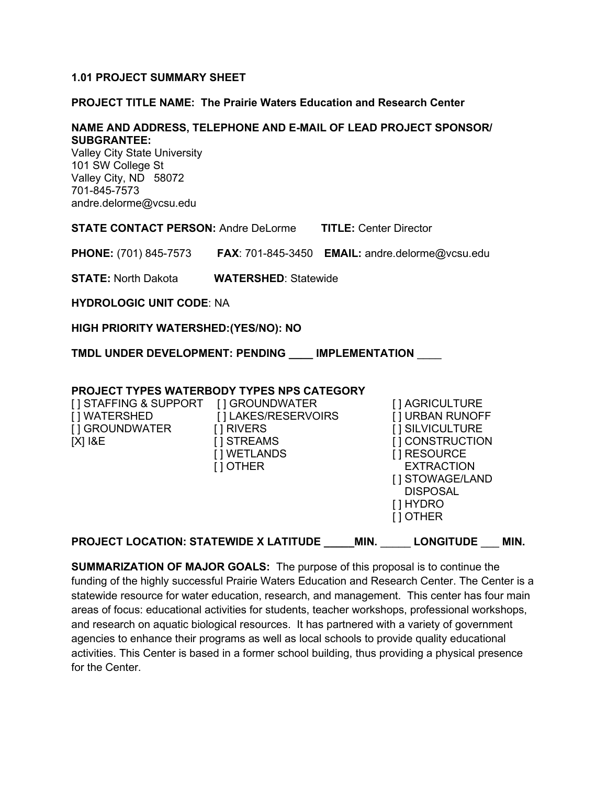#### **1.01 PROJECT SUMMARY SHEET**

#### **PROJECT TITLE NAME: The Prairie Waters Education and Research Center**

#### **NAME AND ADDRESS, TELEPHONE AND E-MAIL OF LEAD PROJECT SPONSOR/ SUBGRANTEE:**

Valley City State University 101 SW College St Valley City, ND 58072 701-845-7573 andre.delorme@vcsu.edu

**STATE CONTACT PERSON:** Andre DeLorme **TITLE:** Center Director

**PHONE:** (701) 845-7573 **FAX**: 701-845-3450 **EMAIL:** andre.delorme@vcsu.edu

**STATE:** North Dakota **WATERSHED**: Statewide

**HYDROLOGIC UNIT CODE**: NA

#### **HIGH PRIORITY WATERSHED:(YES/NO): NO**

**TMDL UNDER DEVELOPMENT: PENDING \_\_\_\_ IMPLEMENTATION** \_\_\_\_

#### **PROJECT TYPES WATERBODY TYPES NPS CATEGORY**

| <b>PROJECT LOCATION: STATEWIDE X LATITUDE</b>                        |                                                                                               | MIN. | <b>LONGITUDE</b>                                                                                                                                                                | MIN. |
|----------------------------------------------------------------------|-----------------------------------------------------------------------------------------------|------|---------------------------------------------------------------------------------------------------------------------------------------------------------------------------------|------|
| [ ] STAFFING & SUPPORT<br>[ ] WATERSHED<br>[] GROUNDWATER<br>[X] I&E | [] GROUNDWATER<br>[] LAKES/RESERVOIRS<br>[ ] RIVERS<br>1 STREAMS<br>[ ] WETLANDS<br>[ ] OTHER |      | [ ] AGRICULTURE<br>[] URBAN RUNOFF<br>[ ] SILVICULTURE<br>[ ] CONSTRUCTION<br>[] RESOURCE<br><b>EXTRACTION</b><br>[ ] STOWAGE/LAND<br><b>DISPOSAL</b><br>[ ] HYDRO<br>[ ] OTHER |      |
|                                                                      |                                                                                               |      |                                                                                                                                                                                 |      |

**SUMMARIZATION OF MAJOR GOALS:** The purpose of this proposal is to continue the funding of the highly successful Prairie Waters Education and Research Center. The Center is a statewide resource for water education, research, and management. This center has four main areas of focus: educational activities for students, teacher workshops, professional workshops, and research on aquatic biological resources. It has partnered with a variety of government agencies to enhance their programs as well as local schools to provide quality educational activities. This Center is based in a former school building, thus providing a physical presence for the Center.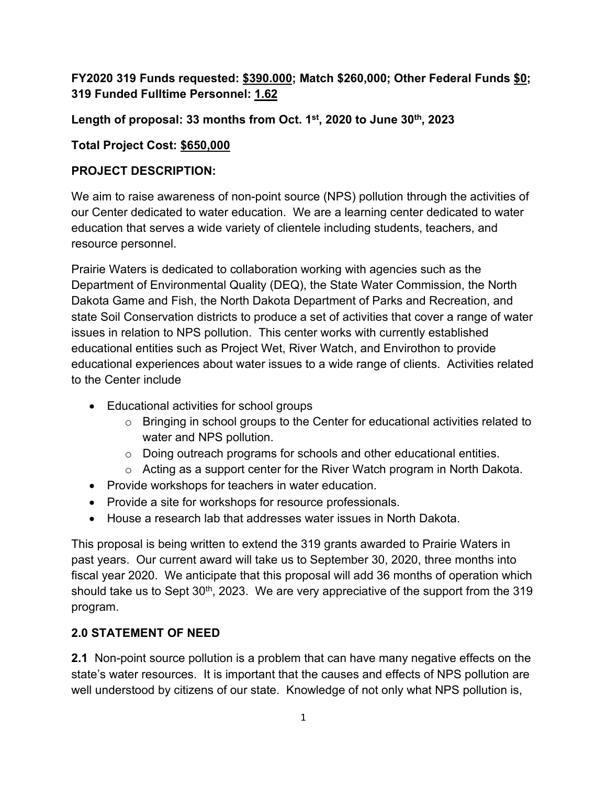## **FY2020 319 Funds requested: \$390.000; Match \$260,000; Other Federal Funds \$0; 319 Funded Fulltime Personnel: 1.62**

**Length of proposal: 33 months from Oct. 1st, 2020 to June 30th, 2023**

## **Total Project Cost: \$650,000**

### **PROJECT DESCRIPTION:**

We aim to raise awareness of non-point source (NPS) pollution through the activities of our Center dedicated to water education. We are a learning center dedicated to water education that serves a wide variety of clientele including students, teachers, and resource personnel.

Prairie Waters is dedicated to collaboration working with agencies such as the Department of Environmental Quality (DEQ), the State Water Commission, the North Dakota Game and Fish, the North Dakota Department of Parks and Recreation, and state Soil Conservation districts to produce a set of activities that cover a range of water issues in relation to NPS pollution. This center works with currently established educational entities such as Project Wet, River Watch, and Envirothon to provide educational experiences about water issues to a wide range of clients. Activities related to the Center include

- Educational activities for school groups
	- o Bringing in school groups to the Center for educational activities related to water and NPS pollution.
	- $\circ$  Doing outreach programs for schools and other educational entities.
	- o Acting as a support center for the River Watch program in North Dakota.
- Provide workshops for teachers in water education.
- Provide a site for workshops for resource professionals.
- House a research lab that addresses water issues in North Dakota.

This proposal is being written to extend the 319 grants awarded to Prairie Waters in past years. Our current award will take us to September 30, 2020, three months into fiscal year 2020. We anticipate that this proposal will add 36 months of operation which should take us to Sept 30<sup>th</sup>, 2023. We are very appreciative of the support from the 319 program.

## **2.0 STATEMENT OF NEED**

**2.1** Non-point source pollution is a problem that can have many negative effects on the state's water resources. It is important that the causes and effects of NPS pollution are well understood by citizens of our state. Knowledge of not only what NPS pollution is,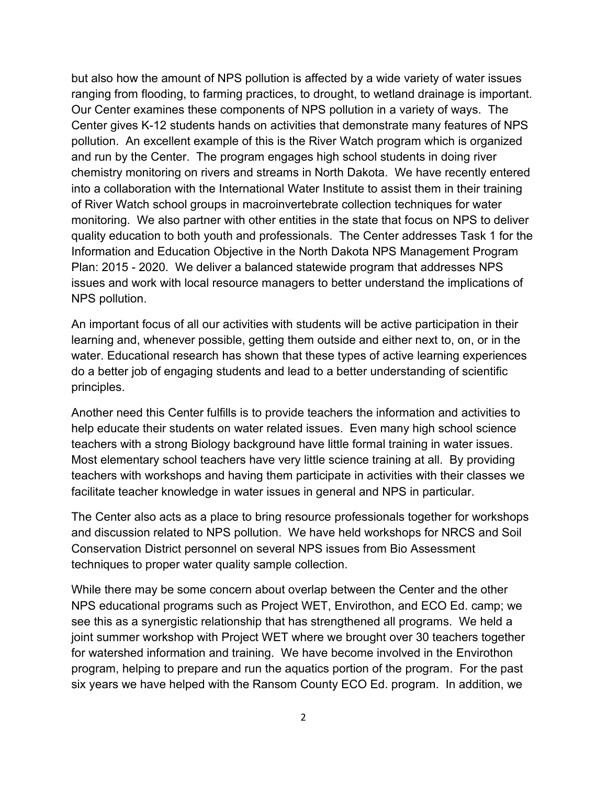but also how the amount of NPS pollution is affected by a wide variety of water issues ranging from flooding, to farming practices, to drought, to wetland drainage is important. Our Center examines these components of NPS pollution in a variety of ways. The Center gives K-12 students hands on activities that demonstrate many features of NPS pollution. An excellent example of this is the River Watch program which is organized and run by the Center. The program engages high school students in doing river chemistry monitoring on rivers and streams in North Dakota. We have recently entered into a collaboration with the International Water Institute to assist them in their training of River Watch school groups in macroinvertebrate collection techniques for water monitoring. We also partner with other entities in the state that focus on NPS to deliver quality education to both youth and professionals. The Center addresses Task 1 for the Information and Education Objective in the North Dakota NPS Management Program Plan: 2015 - 2020. We deliver a balanced statewide program that addresses NPS issues and work with local resource managers to better understand the implications of NPS pollution.

An important focus of all our activities with students will be active participation in their learning and, whenever possible, getting them outside and either next to, on, or in the water. Educational research has shown that these types of active learning experiences do a better job of engaging students and lead to a better understanding of scientific principles.

Another need this Center fulfills is to provide teachers the information and activities to help educate their students on water related issues. Even many high school science teachers with a strong Biology background have little formal training in water issues. Most elementary school teachers have very little science training at all. By providing teachers with workshops and having them participate in activities with their classes we facilitate teacher knowledge in water issues in general and NPS in particular.

The Center also acts as a place to bring resource professionals together for workshops and discussion related to NPS pollution. We have held workshops for NRCS and Soil Conservation District personnel on several NPS issues from Bio Assessment techniques to proper water quality sample collection.

While there may be some concern about overlap between the Center and the other NPS educational programs such as Project WET, Envirothon, and ECO Ed. camp; we see this as a synergistic relationship that has strengthened all programs. We held a joint summer workshop with Project WET where we brought over 30 teachers together for watershed information and training. We have become involved in the Envirothon program, helping to prepare and run the aquatics portion of the program. For the past six years we have helped with the Ransom County ECO Ed. program. In addition, we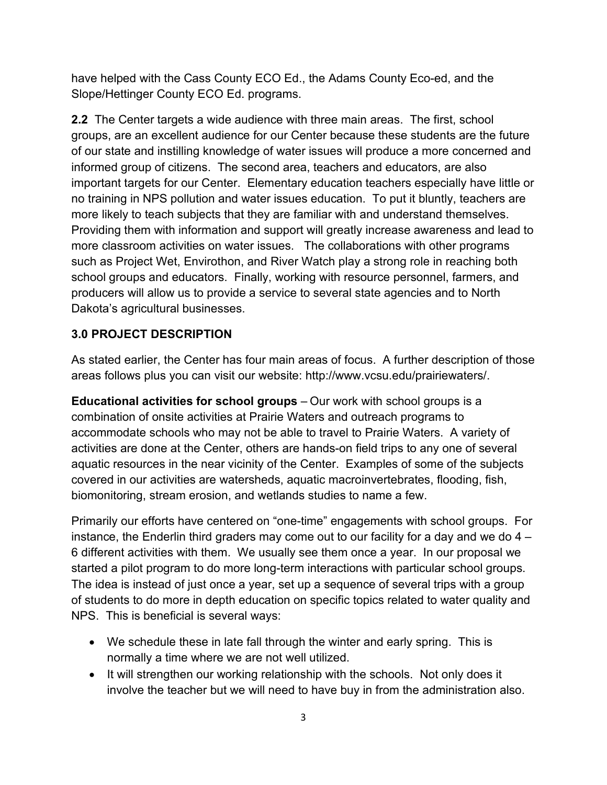have helped with the Cass County ECO Ed., the Adams County Eco-ed, and the Slope/Hettinger County ECO Ed. programs.

**2.2** The Center targets a wide audience with three main areas. The first, school groups, are an excellent audience for our Center because these students are the future of our state and instilling knowledge of water issues will produce a more concerned and informed group of citizens. The second area, teachers and educators, are also important targets for our Center. Elementary education teachers especially have little or no training in NPS pollution and water issues education. To put it bluntly, teachers are more likely to teach subjects that they are familiar with and understand themselves. Providing them with information and support will greatly increase awareness and lead to more classroom activities on water issues. The collaborations with other programs such as Project Wet, Envirothon, and River Watch play a strong role in reaching both school groups and educators. Finally, working with resource personnel, farmers, and producers will allow us to provide a service to several state agencies and to North Dakota's agricultural businesses.

## **3.0 PROJECT DESCRIPTION**

As stated earlier, the Center has four main areas of focus. A further description of those areas follows plus you can visit our website: http://www.vcsu.edu/prairiewaters/.

**Educational activities for school groups** – Our work with school groups is a combination of onsite activities at Prairie Waters and outreach programs to accommodate schools who may not be able to travel to Prairie Waters. A variety of activities are done at the Center, others are hands-on field trips to any one of several aquatic resources in the near vicinity of the Center. Examples of some of the subjects covered in our activities are watersheds, aquatic macroinvertebrates, flooding, fish, biomonitoring, stream erosion, and wetlands studies to name a few.

Primarily our efforts have centered on "one-time" engagements with school groups. For instance, the Enderlin third graders may come out to our facility for a day and we do 4 – 6 different activities with them. We usually see them once a year. In our proposal we started a pilot program to do more long-term interactions with particular school groups. The idea is instead of just once a year, set up a sequence of several trips with a group of students to do more in depth education on specific topics related to water quality and NPS. This is beneficial is several ways:

- We schedule these in late fall through the winter and early spring. This is normally a time where we are not well utilized.
- It will strengthen our working relationship with the schools. Not only does it involve the teacher but we will need to have buy in from the administration also.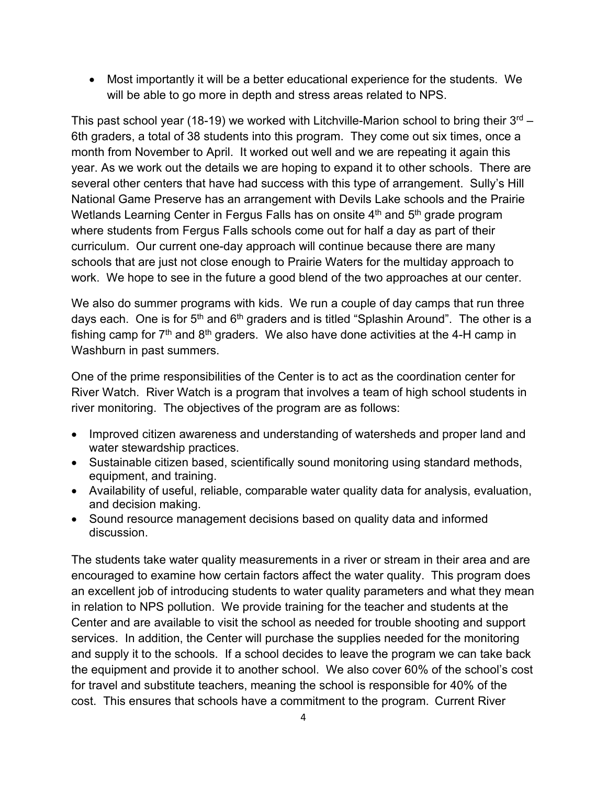• Most importantly it will be a better educational experience for the students. We will be able to go more in depth and stress areas related to NPS.

This past school year (18-19) we worked with Litchville-Marion school to bring their  $3<sup>rd</sup>$  – 6th graders, a total of 38 students into this program. They come out six times, once a month from November to April. It worked out well and we are repeating it again this year. As we work out the details we are hoping to expand it to other schools. There are several other centers that have had success with this type of arrangement. Sully's Hill National Game Preserve has an arrangement with Devils Lake schools and the Prairie Wetlands Learning Center in Fergus Falls has on onsite  $4<sup>th</sup>$  and  $5<sup>th</sup>$  grade program where students from Fergus Falls schools come out for half a day as part of their curriculum. Our current one-day approach will continue because there are many schools that are just not close enough to Prairie Waters for the multiday approach to work. We hope to see in the future a good blend of the two approaches at our center.

We also do summer programs with kids. We run a couple of day camps that run three days each. One is for  $5<sup>th</sup>$  and  $6<sup>th</sup>$  graders and is titled "Splashin Around". The other is a fishing camp for  $7<sup>th</sup>$  and  $8<sup>th</sup>$  graders. We also have done activities at the 4-H camp in Washburn in past summers.

One of the prime responsibilities of the Center is to act as the coordination center for River Watch. River Watch is a program that involves a team of high school students in river monitoring. The objectives of the program are as follows:

- Improved citizen awareness and understanding of watersheds and proper land and water stewardship practices.
- Sustainable citizen based, scientifically sound monitoring using standard methods, equipment, and training.
- Availability of useful, reliable, comparable water quality data for analysis, evaluation, and decision making.
- Sound resource management decisions based on quality data and informed discussion.

The students take water quality measurements in a river or stream in their area and are encouraged to examine how certain factors affect the water quality. This program does an excellent job of introducing students to water quality parameters and what they mean in relation to NPS pollution. We provide training for the teacher and students at the Center and are available to visit the school as needed for trouble shooting and support services. In addition, the Center will purchase the supplies needed for the monitoring and supply it to the schools. If a school decides to leave the program we can take back the equipment and provide it to another school. We also cover 60% of the school's cost for travel and substitute teachers, meaning the school is responsible for 40% of the cost. This ensures that schools have a commitment to the program. Current River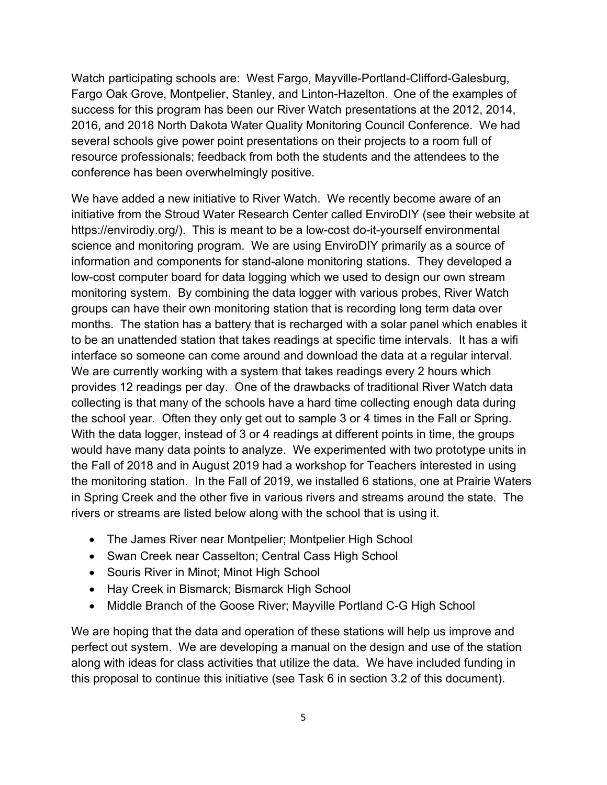Watch participating schools are: West Fargo, Mayville-Portland-Clifford-Galesburg, Fargo Oak Grove, Montpelier, Stanley, and Linton-Hazelton. One of the examples of success for this program has been our River Watch presentations at the 2012, 2014, 2016, and 2018 North Dakota Water Quality Monitoring Council Conference. We had several schools give power point presentations on their projects to a room full of resource professionals; feedback from both the students and the attendees to the conference has been overwhelmingly positive.

We have added a new initiative to River Watch. We recently become aware of an initiative from the Stroud Water Research Center called EnviroDIY (see their website at https://envirodiy.org/). This is meant to be a low-cost do-it-yourself environmental science and monitoring program. We are using EnviroDIY primarily as a source of information and components for stand-alone monitoring stations. They developed a low-cost computer board for data logging which we used to design our own stream monitoring system. By combining the data logger with various probes, River Watch groups can have their own monitoring station that is recording long term data over months. The station has a battery that is recharged with a solar panel which enables it to be an unattended station that takes readings at specific time intervals. It has a wifi interface so someone can come around and download the data at a regular interval. We are currently working with a system that takes readings every 2 hours which provides 12 readings per day. One of the drawbacks of traditional River Watch data collecting is that many of the schools have a hard time collecting enough data during the school year. Often they only get out to sample 3 or 4 times in the Fall or Spring. With the data logger, instead of 3 or 4 readings at different points in time, the groups would have many data points to analyze. We experimented with two prototype units in the Fall of 2018 and in August 2019 had a workshop for Teachers interested in using the monitoring station. In the Fall of 2019, we installed 6 stations, one at Prairie Waters in Spring Creek and the other five in various rivers and streams around the state. The rivers or streams are listed below along with the school that is using it.

- The James River near Montpelier; Montpelier High School
- Swan Creek near Casselton; Central Cass High School
- Souris River in Minot; Minot High School
- Hay Creek in Bismarck; Bismarck High School
- Middle Branch of the Goose River; Mayville Portland C-G High School

We are hoping that the data and operation of these stations will help us improve and perfect out system. We are developing a manual on the design and use of the station along with ideas for class activities that utilize the data. We have included funding in this proposal to continue this initiative (see Task 6 in section 3.2 of this document).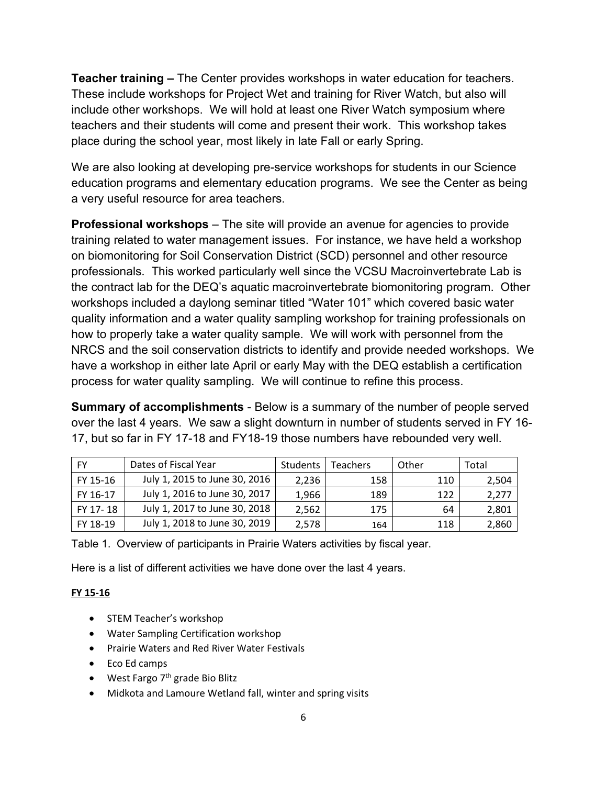**Teacher training –** The Center provides workshops in water education for teachers. These include workshops for Project Wet and training for River Watch, but also will include other workshops. We will hold at least one River Watch symposium where teachers and their students will come and present their work. This workshop takes place during the school year, most likely in late Fall or early Spring.

We are also looking at developing pre-service workshops for students in our Science education programs and elementary education programs. We see the Center as being a very useful resource for area teachers.

**Professional workshops** – The site will provide an avenue for agencies to provide training related to water management issues. For instance, we have held a workshop on biomonitoring for Soil Conservation District (SCD) personnel and other resource professionals. This worked particularly well since the VCSU Macroinvertebrate Lab is the contract lab for the DEQ's aquatic macroinvertebrate biomonitoring program. Other workshops included a daylong seminar titled "Water 101" which covered basic water quality information and a water quality sampling workshop for training professionals on how to properly take a water quality sample. We will work with personnel from the NRCS and the soil conservation districts to identify and provide needed workshops. We have a workshop in either late April or early May with the DEQ establish a certification process for water quality sampling. We will continue to refine this process.

**Summary of accomplishments** - Below is a summary of the number of people served over the last 4 years. We saw a slight downturn in number of students served in FY 16- 17, but so far in FY 17-18 and FY18-19 those numbers have rebounded very well.

| FY       | Dates of Fiscal Year          | Students | <b>Teachers</b> | Other | Total |
|----------|-------------------------------|----------|-----------------|-------|-------|
| FY 15-16 | July 1, 2015 to June 30, 2016 | 2,236    | 158             | 110   | 2,504 |
| FY 16-17 | July 1, 2016 to June 30, 2017 | 1,966    | 189             | 122   | 2,277 |
| FY 17-18 | July 1, 2017 to June 30, 2018 | 2,562    | 175             | 64    | 2,801 |
| FY 18-19 | July 1, 2018 to June 30, 2019 | 2,578    | 164             | 118   | 2,860 |

Table 1. Overview of participants in Prairie Waters activities by fiscal year.

Here is a list of different activities we have done over the last 4 years.

#### **FY 15-16**

- STEM Teacher's workshop
- Water Sampling Certification workshop
- Prairie Waters and Red River Water Festivals
- Eco Ed camps
- West Fargo  $7<sup>th</sup>$  grade Bio Blitz
- Midkota and Lamoure Wetland fall, winter and spring visits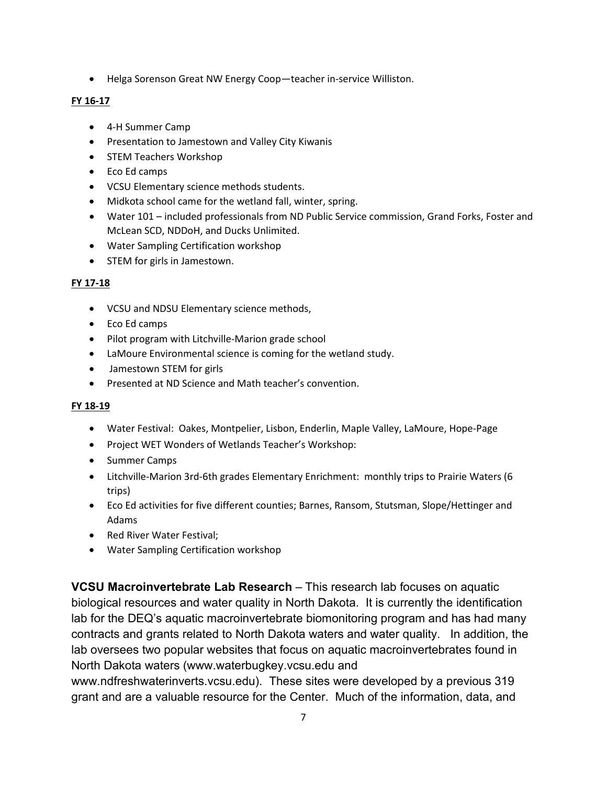• Helga Sorenson Great NW Energy Coop—teacher in-service Williston.

#### **FY 16-17**

- 4-H Summer Camp
- Presentation to Jamestown and Valley City Kiwanis
- STEM Teachers Workshop
- Eco Ed camps
- VCSU Elementary science methods students.
- Midkota school came for the wetland fall, winter, spring.
- Water 101 included professionals from ND Public Service commission, Grand Forks, Foster and McLean SCD, NDDoH, and Ducks Unlimited.
- Water Sampling Certification workshop
- STEM for girls in Jamestown.

### **FY 17-18**

- VCSU and NDSU Elementary science methods,
- Eco Ed camps
- Pilot program with Litchville-Marion grade school
- LaMoure Environmental science is coming for the wetland study.
- Jamestown STEM for girls
- Presented at ND Science and Math teacher's convention.

#### **FY 18-19**

- Water Festival: Oakes, Montpelier, Lisbon, Enderlin, Maple Valley, LaMoure, Hope-Page
- Project WET Wonders of Wetlands Teacher's Workshop:
- Summer Camps
- Litchville-Marion 3rd-6th grades Elementary Enrichment: monthly trips to Prairie Waters (6 trips)
- Eco Ed activities for five different counties; Barnes, Ransom, Stutsman, Slope/Hettinger and Adams
- Red River Water Festival;
- Water Sampling Certification workshop

**VCSU Macroinvertebrate Lab Research** – This research lab focuses on aquatic biological resources and water quality in North Dakota. It is currently the identification lab for the DEQ's aquatic macroinvertebrate biomonitoring program and has had many contracts and grants related to North Dakota waters and water quality. In addition, the lab oversees two popular websites that focus on aquatic macroinvertebrates found in North Dakota waters (www.waterbugkey.vcsu.edu and

www.ndfreshwaterinverts.vcsu.edu). These sites were developed by a previous 319 grant and are a valuable resource for the Center. Much of the information, data, and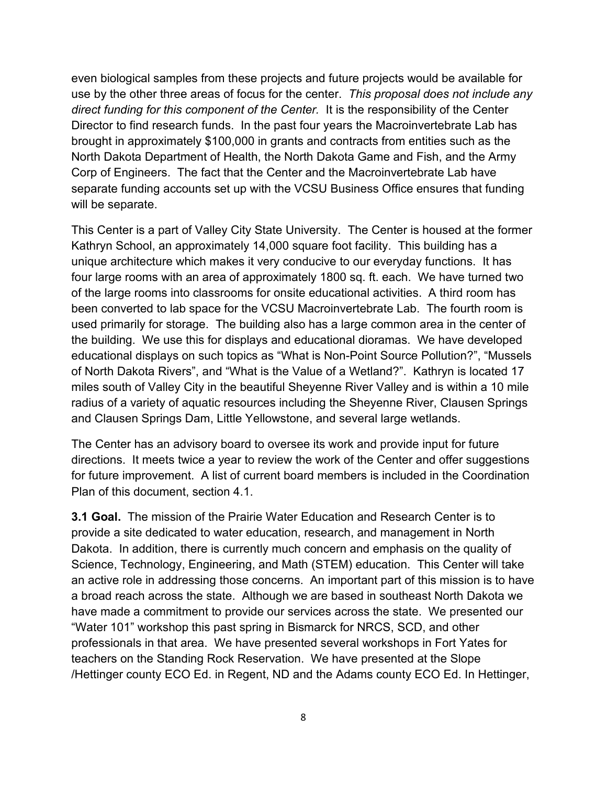even biological samples from these projects and future projects would be available for use by the other three areas of focus for the center. *This proposal does not include any direct funding for this component of the Center.* It is the responsibility of the Center Director to find research funds. In the past four years the Macroinvertebrate Lab has brought in approximately \$100,000 in grants and contracts from entities such as the North Dakota Department of Health, the North Dakota Game and Fish, and the Army Corp of Engineers. The fact that the Center and the Macroinvertebrate Lab have separate funding accounts set up with the VCSU Business Office ensures that funding will be separate.

This Center is a part of Valley City State University. The Center is housed at the former Kathryn School, an approximately 14,000 square foot facility. This building has a unique architecture which makes it very conducive to our everyday functions. It has four large rooms with an area of approximately 1800 sq. ft. each. We have turned two of the large rooms into classrooms for onsite educational activities. A third room has been converted to lab space for the VCSU Macroinvertebrate Lab. The fourth room is used primarily for storage. The building also has a large common area in the center of the building. We use this for displays and educational dioramas. We have developed educational displays on such topics as "What is Non-Point Source Pollution?", "Mussels of North Dakota Rivers", and "What is the Value of a Wetland?". Kathryn is located 17 miles south of Valley City in the beautiful Sheyenne River Valley and is within a 10 mile radius of a variety of aquatic resources including the Sheyenne River, Clausen Springs and Clausen Springs Dam, Little Yellowstone, and several large wetlands.

The Center has an advisory board to oversee its work and provide input for future directions. It meets twice a year to review the work of the Center and offer suggestions for future improvement. A list of current board members is included in the Coordination Plan of this document, section 4.1.

**3.1 Goal.** The mission of the Prairie Water Education and Research Center is to provide a site dedicated to water education, research, and management in North Dakota. In addition, there is currently much concern and emphasis on the quality of Science, Technology, Engineering, and Math (STEM) education. This Center will take an active role in addressing those concerns. An important part of this mission is to have a broad reach across the state. Although we are based in southeast North Dakota we have made a commitment to provide our services across the state. We presented our "Water 101" workshop this past spring in Bismarck for NRCS, SCD, and other professionals in that area. We have presented several workshops in Fort Yates for teachers on the Standing Rock Reservation. We have presented at the Slope /Hettinger county ECO Ed. in Regent, ND and the Adams county ECO Ed. In Hettinger,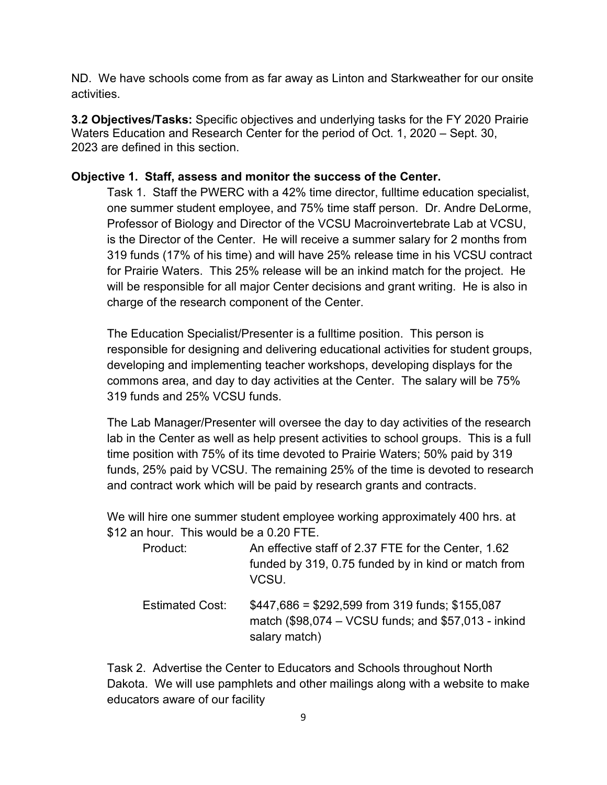ND. We have schools come from as far away as Linton and Starkweather for our onsite activities.

**3.2 Objectives/Tasks:** Specific objectives and underlying tasks for the FY 2020 Prairie Waters Education and Research Center for the period of Oct. 1, 2020 – Sept. 30, 2023 are defined in this section.

### **Objective 1. Staff, assess and monitor the success of the Center.**

Task 1. Staff the PWERC with a 42% time director, fulltime education specialist, one summer student employee, and 75% time staff person. Dr. Andre DeLorme, Professor of Biology and Director of the VCSU Macroinvertebrate Lab at VCSU, is the Director of the Center. He will receive a summer salary for 2 months from 319 funds (17% of his time) and will have 25% release time in his VCSU contract for Prairie Waters. This 25% release will be an inkind match for the project. He will be responsible for all major Center decisions and grant writing. He is also in charge of the research component of the Center.

The Education Specialist/Presenter is a fulltime position. This person is responsible for designing and delivering educational activities for student groups, developing and implementing teacher workshops, developing displays for the commons area, and day to day activities at the Center. The salary will be 75% 319 funds and 25% VCSU funds.

The Lab Manager/Presenter will oversee the day to day activities of the research lab in the Center as well as help present activities to school groups. This is a full time position with 75% of its time devoted to Prairie Waters; 50% paid by 319 funds, 25% paid by VCSU. The remaining 25% of the time is devoted to research and contract work which will be paid by research grants and contracts.

We will hire one summer student employee working approximately 400 hrs. at \$12 an hour. This would be a 0.20 FTE.

| Product:               | An effective staff of 2.37 FTE for the Center, 1.62<br>funded by 319, 0.75 funded by in kind or match from<br>VCSU.     |
|------------------------|-------------------------------------------------------------------------------------------------------------------------|
| <b>Estimated Cost:</b> | $$447,686 = $292,599$ from 319 funds; \$155,087<br>match (\$98,074 – VCSU funds; and \$57,013 - inkind<br>salary match) |

Task 2. Advertise the Center to Educators and Schools throughout North Dakota. We will use pamphlets and other mailings along with a website to make educators aware of our facility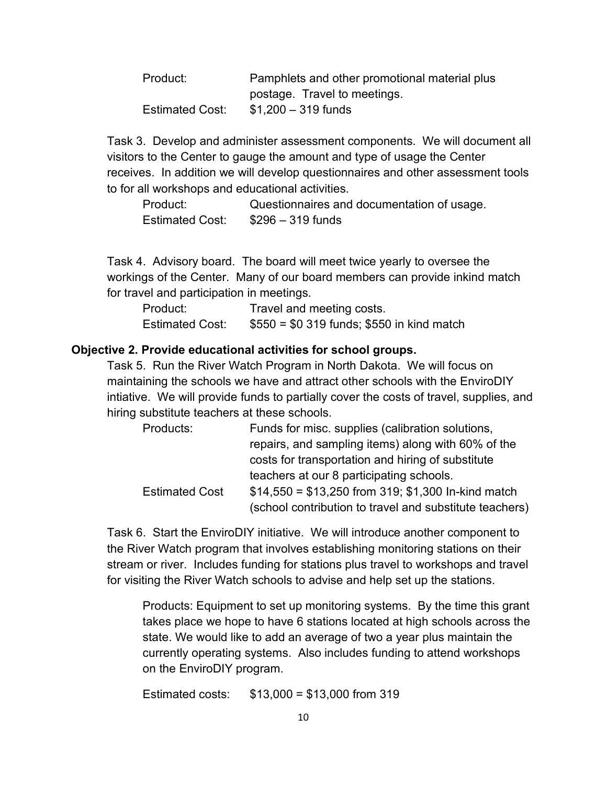| Product:        | Pamphlets and other promotional material plus |  |  |  |
|-----------------|-----------------------------------------------|--|--|--|
|                 | postage. Travel to meetings.                  |  |  |  |
| Estimated Cost: | $$1,200 - 319$ funds                          |  |  |  |

Task 3. Develop and administer assessment components. We will document all visitors to the Center to gauge the amount and type of usage the Center receives. In addition we will develop questionnaires and other assessment tools to for all workshops and educational activities.

Product: Questionnaires and documentation of usage. Estimated Cost: \$296 – 319 funds

Task 4. Advisory board. The board will meet twice yearly to oversee the workings of the Center. Many of our board members can provide inkind match for travel and participation in meetings.

Product: Travel and meeting costs. Estimated Cost:  $$550 = $0,319 \text{ funds}; $550 \text{ in kind match}$ 

#### **Objective 2. Provide educational activities for school groups.**

Task 5. Run the River Watch Program in North Dakota. We will focus on maintaining the schools we have and attract other schools with the EnviroDIY intiative. We will provide funds to partially cover the costs of travel, supplies, and hiring substitute teachers at these schools.

| Products:             | Funds for misc. supplies (calibration solutions,        |
|-----------------------|---------------------------------------------------------|
|                       | repairs, and sampling items) along with 60% of the      |
|                       | costs for transportation and hiring of substitute       |
|                       | teachers at our 8 participating schools.                |
| <b>Estimated Cost</b> | $$14,550 = $13,250$ from 319; \$1,300 In-kind match     |
|                       | (school contribution to travel and substitute teachers) |

Task 6. Start the EnviroDIY initiative. We will introduce another component to the River Watch program that involves establishing monitoring stations on their stream or river. Includes funding for stations plus travel to workshops and travel for visiting the River Watch schools to advise and help set up the stations.

Products: Equipment to set up monitoring systems. By the time this grant takes place we hope to have 6 stations located at high schools across the state. We would like to add an average of two a year plus maintain the currently operating systems. Also includes funding to attend workshops on the EnviroDIY program.

Estimated costs: \$13,000 = \$13,000 from 319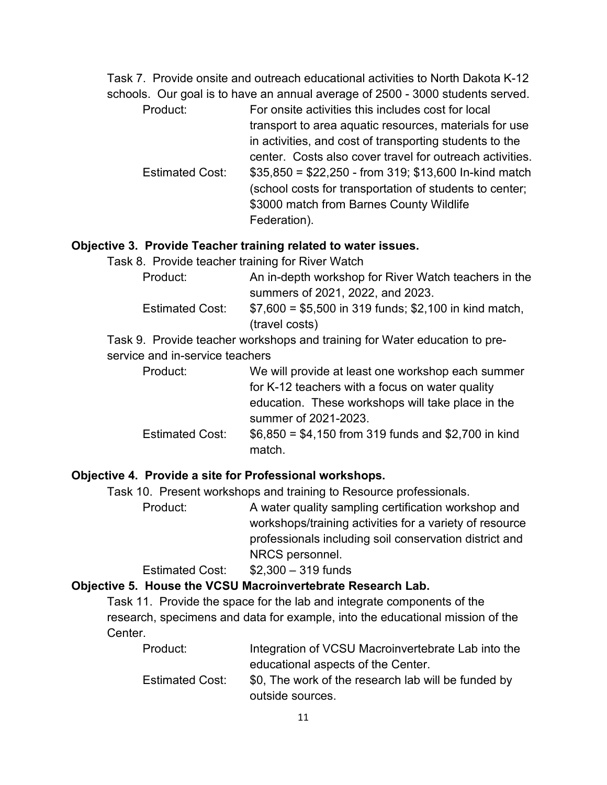Task 7. Provide onsite and outreach educational activities to North Dakota K-12 schools. Our goal is to have an annual average of 2500 - 3000 students served.

Product: For onsite activities this includes cost for local transport to area aquatic resources, materials for use in activities, and cost of transporting students to the center. Costs also cover travel for outreach activities. Estimated Cost:  $$35,850 = $22,250$  - from 319; \$13,600 In-kind match (school costs for transportation of students to center; \$3000 match from Barnes County Wildlife Federation).

#### **Objective 3. Provide Teacher training related to water issues.**

Task 8. Provide teacher training for River Watch

| Product:               | An in-depth workshop for River Watch teachers in the   |
|------------------------|--------------------------------------------------------|
|                        | summers of 2021, 2022, and 2023.                       |
| <b>Estimated Cost:</b> | $$7,600 = $5,500$ in 319 funds; \$2,100 in kind match, |
|                        | (travel costs)                                         |

Task 9. Provide teacher workshops and training for Water education to preservice and in-service teachers

- Product: We will provide at least one workshop each summer for K-12 teachers with a focus on water quality education. These workshops will take place in the summer of 2021-2023. Estimated Cost:  $$6,850 = $4,150$  from 319 funds and \$2,700 in kind
	- match.

### **Objective 4. Provide a site for Professional workshops.**

Task 10. Present workshops and training to Resource professionals.

Product: A water quality sampling certification workshop and workshops/training activities for a variety of resource professionals including soil conservation district and NRCS personnel.

#### Estimated Cost: \$2,300 – 319 funds

#### **Objective 5. House the VCSU Macroinvertebrate Research Lab.**

Task 11. Provide the space for the lab and integrate components of the research, specimens and data for example, into the educational mission of the Center.

| Product:               | Integration of VCSU Macroinvertebrate Lab into the  |
|------------------------|-----------------------------------------------------|
|                        | educational aspects of the Center.                  |
| <b>Estimated Cost:</b> | \$0. The work of the research lab will be funded by |
|                        | outside sources.                                    |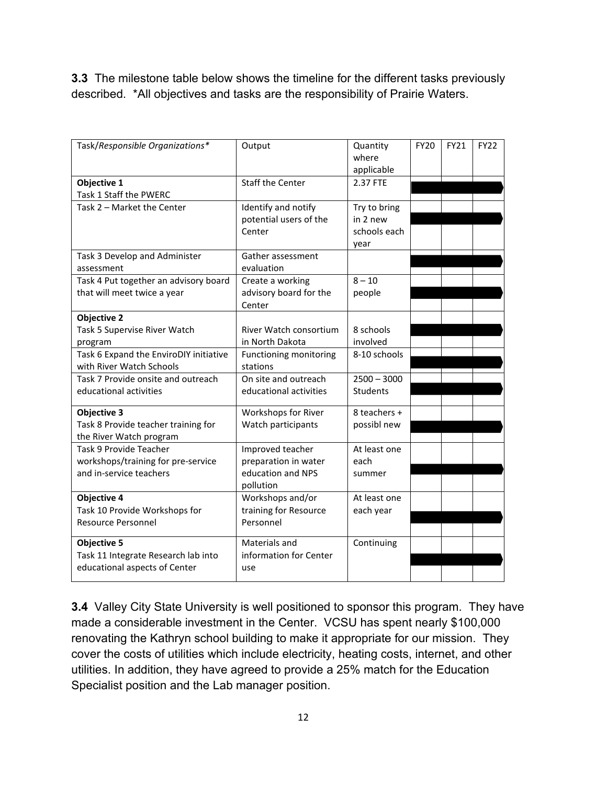**3.3** The milestone table below shows the timeline for the different tasks previously described. \*All objectives and tasks are the responsibility of Prairie Waters.

| Task/Responsible Organizations*                                                                         | Output                                                                     | Quantity<br>where<br>applicable                  | <b>FY20</b> | <b>FY21</b> | <b>FY22</b> |
|---------------------------------------------------------------------------------------------------------|----------------------------------------------------------------------------|--------------------------------------------------|-------------|-------------|-------------|
| Objective 1<br>Task 1 Staff the PWERC                                                                   | <b>Staff the Center</b>                                                    | 2.37 FTE                                         |             |             |             |
| Task 2 - Market the Center                                                                              | Identify and notify<br>potential users of the<br>Center                    | Try to bring<br>in 2 new<br>schools each<br>year |             |             |             |
| Task 3 Develop and Administer<br>assessment                                                             | Gather assessment<br>evaluation                                            |                                                  |             |             |             |
| Task 4 Put together an advisory board<br>that will meet twice a year                                    | Create a working<br>advisory board for the<br>Center                       | $8 - 10$<br>people                               |             |             |             |
| <b>Objective 2</b><br>Task 5 Supervise River Watch<br>program<br>Task 6 Expand the EnviroDIY initiative | River Watch consortium<br>in North Dakota<br>Functioning monitoring        | 8 schools<br>involved<br>8-10 schools            |             |             |             |
| with River Watch Schools<br>Task 7 Provide onsite and outreach<br>educational activities                | stations<br>On site and outreach<br>educational activities                 | $2500 - 3000$<br><b>Students</b>                 |             |             |             |
| <b>Objective 3</b><br>Task 8 Provide teacher training for<br>the River Watch program                    | Workshops for River<br>Watch participants                                  | 8 teachers +<br>possibl new                      |             |             |             |
| Task 9 Provide Teacher<br>workshops/training for pre-service<br>and in-service teachers                 | Improved teacher<br>preparation in water<br>education and NPS<br>pollution | At least one<br>each<br>summer                   |             |             |             |
| <b>Objective 4</b><br>Task 10 Provide Workshops for<br><b>Resource Personnel</b>                        | Workshops and/or<br>training for Resource<br>Personnel                     | At least one<br>each year                        |             |             |             |
| <b>Objective 5</b><br>Task 11 Integrate Research lab into<br>educational aspects of Center              | Materials and<br>information for Center<br>use                             | Continuing                                       |             |             |             |

**3.4** Valley City State University is well positioned to sponsor this program. They have made a considerable investment in the Center. VCSU has spent nearly \$100,000 renovating the Kathryn school building to make it appropriate for our mission. They cover the costs of utilities which include electricity, heating costs, internet, and other utilities. In addition, they have agreed to provide a 25% match for the Education Specialist position and the Lab manager position.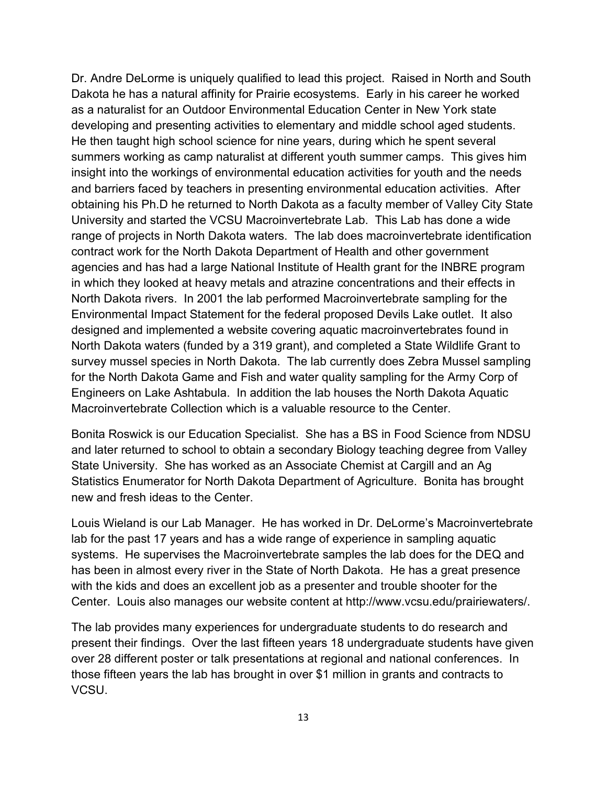Dr. Andre DeLorme is uniquely qualified to lead this project. Raised in North and South Dakota he has a natural affinity for Prairie ecosystems. Early in his career he worked as a naturalist for an Outdoor Environmental Education Center in New York state developing and presenting activities to elementary and middle school aged students. He then taught high school science for nine years, during which he spent several summers working as camp naturalist at different youth summer camps. This gives him insight into the workings of environmental education activities for youth and the needs and barriers faced by teachers in presenting environmental education activities. After obtaining his Ph.D he returned to North Dakota as a faculty member of Valley City State University and started the VCSU Macroinvertebrate Lab. This Lab has done a wide range of projects in North Dakota waters. The lab does macroinvertebrate identification contract work for the North Dakota Department of Health and other government agencies and has had a large National Institute of Health grant for the INBRE program in which they looked at heavy metals and atrazine concentrations and their effects in North Dakota rivers. In 2001 the lab performed Macroinvertebrate sampling for the Environmental Impact Statement for the federal proposed Devils Lake outlet. It also designed and implemented a website covering aquatic macroinvertebrates found in North Dakota waters (funded by a 319 grant), and completed a State Wildlife Grant to survey mussel species in North Dakota. The lab currently does Zebra Mussel sampling for the North Dakota Game and Fish and water quality sampling for the Army Corp of Engineers on Lake Ashtabula. In addition the lab houses the North Dakota Aquatic Macroinvertebrate Collection which is a valuable resource to the Center.

Bonita Roswick is our Education Specialist. She has a BS in Food Science from NDSU and later returned to school to obtain a secondary Biology teaching degree from Valley State University. She has worked as an Associate Chemist at Cargill and an Ag Statistics Enumerator for North Dakota Department of Agriculture. Bonita has brought new and fresh ideas to the Center.

Louis Wieland is our Lab Manager. He has worked in Dr. DeLorme's Macroinvertebrate lab for the past 17 years and has a wide range of experience in sampling aquatic systems. He supervises the Macroinvertebrate samples the lab does for the DEQ and has been in almost every river in the State of North Dakota. He has a great presence with the kids and does an excellent job as a presenter and trouble shooter for the Center. Louis also manages our website content at http://www.vcsu.edu/prairiewaters/.

The lab provides many experiences for undergraduate students to do research and present their findings. Over the last fifteen years 18 undergraduate students have given over 28 different poster or talk presentations at regional and national conferences. In those fifteen years the lab has brought in over \$1 million in grants and contracts to VCSU.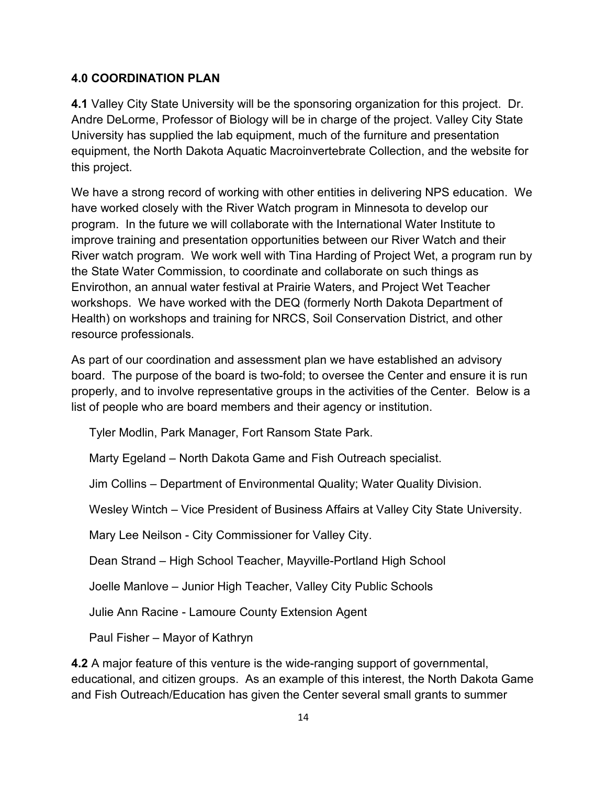### **4.0 COORDINATION PLAN**

**4.1** Valley City State University will be the sponsoring organization for this project. Dr. Andre DeLorme, Professor of Biology will be in charge of the project. Valley City State University has supplied the lab equipment, much of the furniture and presentation equipment, the North Dakota Aquatic Macroinvertebrate Collection, and the website for this project.

We have a strong record of working with other entities in delivering NPS education. We have worked closely with the River Watch program in Minnesota to develop our program. In the future we will collaborate with the International Water Institute to improve training and presentation opportunities between our River Watch and their River watch program. We work well with Tina Harding of Project Wet, a program run by the State Water Commission, to coordinate and collaborate on such things as Envirothon, an annual water festival at Prairie Waters, and Project Wet Teacher workshops. We have worked with the DEQ (formerly North Dakota Department of Health) on workshops and training for NRCS, Soil Conservation District, and other resource professionals.

As part of our coordination and assessment plan we have established an advisory board. The purpose of the board is two-fold; to oversee the Center and ensure it is run properly, and to involve representative groups in the activities of the Center. Below is a list of people who are board members and their agency or institution.

Tyler Modlin, Park Manager, Fort Ransom State Park.

Marty Egeland – North Dakota Game and Fish Outreach specialist.

Jim Collins – Department of Environmental Quality; Water Quality Division.

Wesley Wintch – Vice President of Business Affairs at Valley City State University.

Mary Lee Neilson - City Commissioner for Valley City.

Dean Strand – High School Teacher, Mayville-Portland High School

Joelle Manlove – Junior High Teacher, Valley City Public Schools

Julie Ann Racine - Lamoure County Extension Agent

Paul Fisher – Mayor of Kathryn

**4.2** A major feature of this venture is the wide-ranging support of governmental, educational, and citizen groups. As an example of this interest, the North Dakota Game and Fish Outreach/Education has given the Center several small grants to summer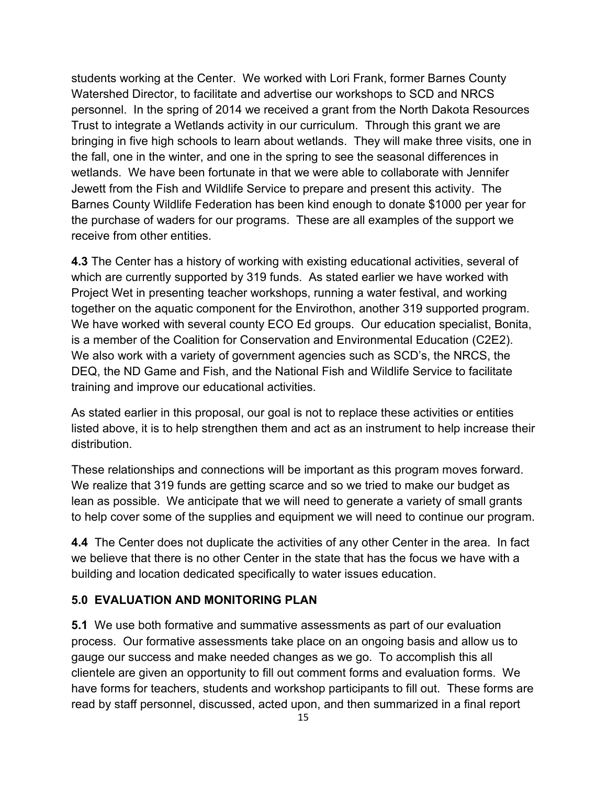students working at the Center. We worked with Lori Frank, former Barnes County Watershed Director, to facilitate and advertise our workshops to SCD and NRCS personnel. In the spring of 2014 we received a grant from the North Dakota Resources Trust to integrate a Wetlands activity in our curriculum. Through this grant we are bringing in five high schools to learn about wetlands. They will make three visits, one in the fall, one in the winter, and one in the spring to see the seasonal differences in wetlands. We have been fortunate in that we were able to collaborate with Jennifer Jewett from the Fish and Wildlife Service to prepare and present this activity. The Barnes County Wildlife Federation has been kind enough to donate \$1000 per year for the purchase of waders for our programs. These are all examples of the support we receive from other entities.

**4.3** The Center has a history of working with existing educational activities, several of which are currently supported by 319 funds. As stated earlier we have worked with Project Wet in presenting teacher workshops, running a water festival, and working together on the aquatic component for the Envirothon, another 319 supported program. We have worked with several county ECO Ed groups. Our education specialist, Bonita, is a member of the Coalition for Conservation and Environmental Education (C2E2). We also work with a variety of government agencies such as SCD's, the NRCS, the DEQ, the ND Game and Fish, and the National Fish and Wildlife Service to facilitate training and improve our educational activities.

As stated earlier in this proposal, our goal is not to replace these activities or entities listed above, it is to help strengthen them and act as an instrument to help increase their distribution.

These relationships and connections will be important as this program moves forward. We realize that 319 funds are getting scarce and so we tried to make our budget as lean as possible. We anticipate that we will need to generate a variety of small grants to help cover some of the supplies and equipment we will need to continue our program.

**4.4** The Center does not duplicate the activities of any other Center in the area. In fact we believe that there is no other Center in the state that has the focus we have with a building and location dedicated specifically to water issues education.

### **5.0 EVALUATION AND MONITORING PLAN**

**5.1** We use both formative and summative assessments as part of our evaluation process. Our formative assessments take place on an ongoing basis and allow us to gauge our success and make needed changes as we go. To accomplish this all clientele are given an opportunity to fill out comment forms and evaluation forms. We have forms for teachers, students and workshop participants to fill out. These forms are read by staff personnel, discussed, acted upon, and then summarized in a final report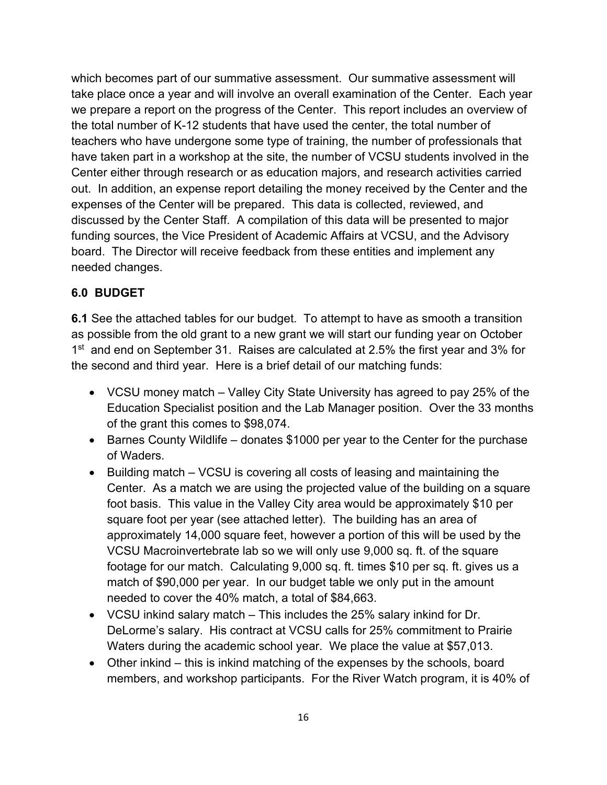which becomes part of our summative assessment. Our summative assessment will take place once a year and will involve an overall examination of the Center. Each year we prepare a report on the progress of the Center. This report includes an overview of the total number of K-12 students that have used the center, the total number of teachers who have undergone some type of training, the number of professionals that have taken part in a workshop at the site, the number of VCSU students involved in the Center either through research or as education majors, and research activities carried out. In addition, an expense report detailing the money received by the Center and the expenses of the Center will be prepared.This data is collected, reviewed, and discussed by the Center Staff. A compilation of this data will be presented to major funding sources, the Vice President of Academic Affairs at VCSU, and the Advisory board. The Director will receive feedback from these entities and implement any needed changes.

### **6.0 BUDGET**

**6.1** See the attached tables for our budget. To attempt to have as smooth a transition as possible from the old grant to a new grant we will start our funding year on October 1<sup>st</sup> and end on September 31. Raises are calculated at 2.5% the first year and 3% for the second and third year. Here is a brief detail of our matching funds:

- VCSU money match Valley City State University has agreed to pay 25% of the Education Specialist position and the Lab Manager position. Over the 33 months of the grant this comes to \$98,074.
- Barnes County Wildlife donates \$1000 per year to the Center for the purchase of Waders.
- Building match VCSU is covering all costs of leasing and maintaining the Center. As a match we are using the projected value of the building on a square foot basis. This value in the Valley City area would be approximately \$10 per square foot per year (see attached letter). The building has an area of approximately 14,000 square feet, however a portion of this will be used by the VCSU Macroinvertebrate lab so we will only use 9,000 sq. ft. of the square footage for our match. Calculating 9,000 sq. ft. times \$10 per sq. ft. gives us a match of \$90,000 per year. In our budget table we only put in the amount needed to cover the 40% match, a total of \$84,663.
- VCSU inkind salary match This includes the 25% salary inkind for Dr. DeLorme's salary. His contract at VCSU calls for 25% commitment to Prairie Waters during the academic school year. We place the value at \$57,013.
- Other inkind this is inkind matching of the expenses by the schools, board members, and workshop participants. For the River Watch program, it is 40% of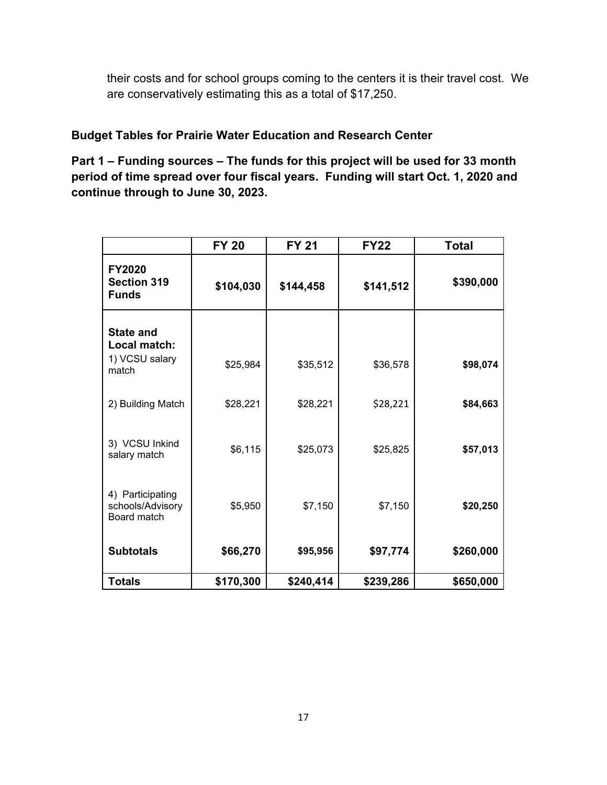their costs and for school groups coming to the centers it is their travel cost. We are conservatively estimating this as a total of \$17,250.

# **Budget Tables for Prairie Water Education and Research Center**

**Part 1 – Funding sources – The funds for this project will be used for 33 month period of time spread over four fiscal years. Funding will start Oct. 1, 2020 and continue through to June 30, 2023.**

|                                                     | <b>FY 20</b> | <b>FY 21</b> | <b>FY22</b> | <b>Total</b> |
|-----------------------------------------------------|--------------|--------------|-------------|--------------|
| <b>FY2020</b><br><b>Section 319</b><br><b>Funds</b> | \$104,030    | \$144,458    | \$141,512   | \$390,000    |
| <b>State and</b><br>Local match:<br>1) VCSU salary  | \$25,984     | \$35,512     | \$36,578    | \$98,074     |
| match<br>2) Building Match                          | \$28,221     | \$28,221     | \$28,221    | \$84,663     |
| 3) VCSU Inkind<br>salary match                      | \$6,115      | \$25,073     | \$25,825    | \$57,013     |
| 4) Participating                                    |              |              |             |              |
| schools/Advisory<br>Board match                     | \$5,950      | \$7,150      | \$7,150     | \$20,250     |
| <b>Subtotals</b>                                    | \$66,270     | \$95,956     | \$97,774    | \$260,000    |
| <b>Totals</b>                                       | \$170,300    | \$240,414    | \$239,286   | \$650,000    |